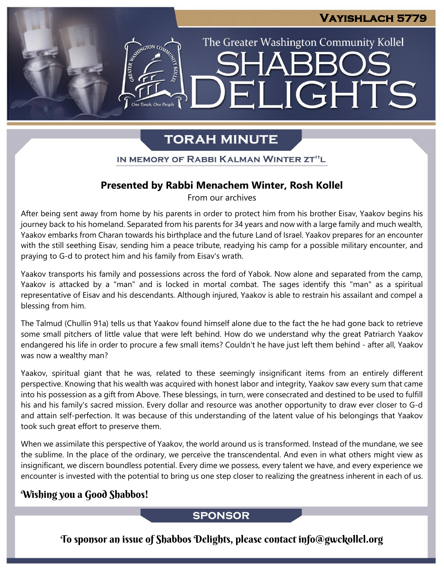LIGHTS

The Greater Washington Community Kollel

# **TORAH MINUTE**

EI

IN MEMORY OF RABBI KALMAN WINTER ZT"L

# **Presented by Rabbi Menachem Winter, Rosh Kollel**

From our archives

After being sent away from home by his parents in order to protect him from his brother Eisav, Yaakov begins his journey back to his homeland. Separated from his parents for 34 years and now with a large family and much wealth, Yaakov embarks from Charan towards his birthplace and the future Land of Israel. Yaakov prepares for an encounter with the still seething Eisav, sending him a peace tribute, readying his camp for a possible military encounter, and praying to G-d to protect him and his family from Eisav's wrath.

Yaakov transports his family and possessions across the ford of Yabok. Now alone and separated from the camp, Yaakov is attacked by a "man" and is locked in mortal combat. The sages identify this "man" as a spiritual representative of Eisav and his descendants. Although injured, Yaakov is able to restrain his assailant and compel a blessing from him.

The Talmud (Chullin 91a) tells us that Yaakov found himself alone due to the fact the he had gone back to retrieve some small pitchers of little value that were left behind. How do we understand why the great Patriarch Yaakov endangered his life in order to procure a few small items? Couldn't he have just left them behind - after all, Yaakov was now a wealthy man?

Yaakov, spiritual giant that he was, related to these seemingly insignificant items from an entirely different perspective. Knowing that his wealth was acquired with honest labor and integrity, Yaakov saw every sum that came into his possession as a gift from Above. These blessings, in turn, were consecrated and destined to be used to fulfill his and his family's sacred mission. Every dollar and resource was another opportunity to draw ever closer to G-d and attain self-perfection. It was because of this understanding of the latent value of his belongings that Yaakov took such great effort to preserve them.

When we assimilate this perspective of Yaakov, the world around us is transformed. Instead of the mundane, we see the sublime. In the place of the ordinary, we perceive the transcendental. And even in what others might view as insignificant, we discern boundless potential. Every dime we possess, every talent we have, and every experience we encounter is invested with the potential to bring us one step closer to realizing the greatness inherent in each of us.

# Wishing you a Good Shabbos!

# **SPONSOR**

To sponsor an issue of Shabbos Delights, please contact info@gwckollel.org